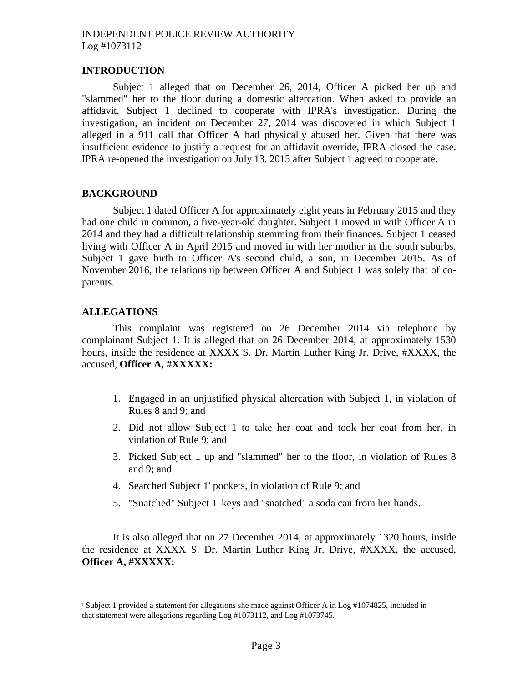## **INTRODUCTION**

Subject 1 alleged that on December 26, 2014, Officer A picked her up and "slammed" her to the floor during a domestic altercation. When asked to provide an affidavit, Subject 1 declined to cooperate with IPRA's investigation. During the investigation, an incident on December 27, 2014 was discovered in which Subject 1 alleged in a 911 call that Officer A had physically abused her. Given that there was insufficient evidence to justify a request for an affidavit override, IPRA closed the case. IPRA re-opened the investigation on July 13, 2015 after Subject 1 agreed to cooperate.

#### **BACKGROUND**

Subject 1 dated Officer A for approximately eight years in February 2015 and they had one child in common, a five-year-old daughter. Subject 1 moved in with Officer A in 2014 and they had a difficult relationship stemming from their finances. Subject 1 ceased living with Officer A in April 2015 and moved in with her mother in the south suburbs. Subject 1 gave birth to Officer A's second child, a son, in December 2015. As of November 2016, the relationship between Officer A and Subject 1 was solely that of coparents.

# **ALLEGATIONS**

This complaint was registered on 26 December 2014 via telephone by complainant Subject 1. It is alleged that on 26 December 2014, at approximately 1530 hours, inside the residence at XXXX S. Dr. Martin Luther King Jr. Drive, #XXXX, the accused, **Officer A, #XXXXX:**

- 1. Engaged in an unjustified physical altercation with Subject 1, in violation of Rules 8 and 9; and
- 2. Did not allow Subject 1 to take her coat and took her coat from her, in violation of Rule 9; and
- 3. Picked Subject 1 up and "slammed" her to the floor, in violation of Rules 8 and 9; and
- 4. Searched Subject 1' pockets, in violation of Rule 9; and
- 5. "Snatched" Subject 1' keys and "snatched" a soda can from her hands.

It is also alleged that on 27 December 2014, at approximately 1320 hours, inside the residence at XXXX S. Dr. Martin Luther King Jr. Drive, #XXXX, the accused, **Officer A, #XXXXX:**

<sup>1</sup> Subject 1 provided a statement for allegations she made against Officer A in Log #1074825, included in that statement were allegations regarding Log #1073112, and Log #1073745.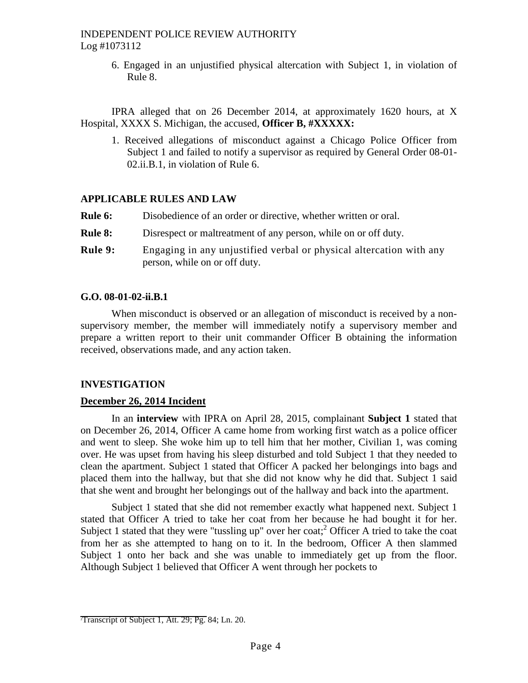6. Engaged in an unjustified physical altercation with Subject 1, in violation of Rule 8.

IPRA alleged that on 26 December 2014, at approximately 1620 hours, at X Hospital, XXXX S. Michigan, the accused, **Officer B, #XXXXX:**

1. Received allegations of misconduct against a Chicago Police Officer from Subject 1 and failed to notify a supervisor as required by General Order 08-01- 02.ii.B.1, in violation of Rule 6.

#### **APPLICABLE RULES AND LAW**

| <b>Rule 6:</b> | Disobedience of an order or directive, whether written or oral.                                      |
|----------------|------------------------------------------------------------------------------------------------------|
| <b>Rule 8:</b> | Disrespect or maltreatment of any person, while on or off duty.                                      |
| <b>Rule 9:</b> | Engaging in any unjustified verbal or physical altercation with any<br>person, while on or off duty. |

#### **G.O. 08-01-02-ii.B.1**

When misconduct is observed or an allegation of misconduct is received by a nonsupervisory member, the member will immediately notify a supervisory member and prepare a written report to their unit commander Officer B obtaining the information received, observations made, and any action taken.

#### **INVESTIGATION**

# **December 26, 2014 Incident**

In an **interview** with IPRA on April 28, 2015, complainant **Subject 1** stated that on December 26, 2014, Officer A came home from working first watch as a police officer and went to sleep. She woke him up to tell him that her mother, Civilian 1, was coming over. He was upset from having his sleep disturbed and told Subject 1 that they needed to clean the apartment. Subject 1 stated that Officer A packed her belongings into bags and placed them into the hallway, but that she did not know why he did that. Subject 1 said that she went and brought her belongings out of the hallway and back into the apartment.

Subject 1 stated that she did not remember exactly what happened next. Subject 1 stated that Officer A tried to take her coat from her because he had bought it for her. Subject 1 stated that they were "tussling up" over her coat;<sup>2</sup> Officer A tried to take the coat from her as she attempted to hang on to it. In the bedroom, Officer A then slammed Subject 1 onto her back and she was unable to immediately get up from the floor. Although Subject 1 believed that Officer A went through her pockets to

<sup>&</sup>lt;sup>2</sup>Transcript of Subject 1, Att. 29; Pg. 84; Ln. 20.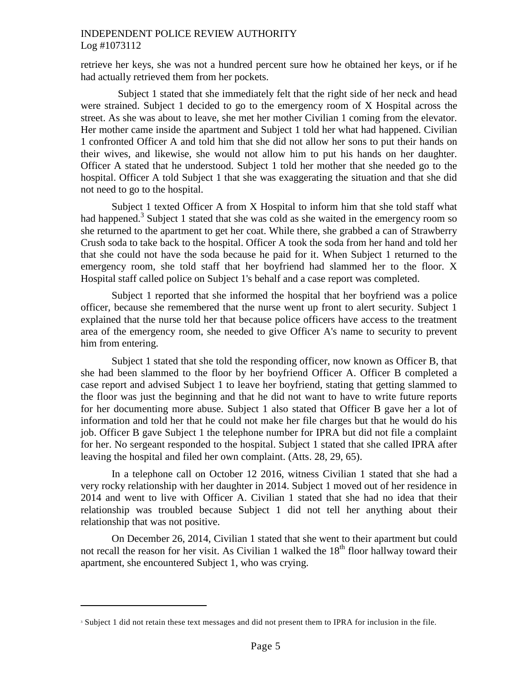retrieve her keys, she was not a hundred percent sure how he obtained her keys, or if he had actually retrieved them from her pockets.

Subject 1 stated that she immediately felt that the right side of her neck and head were strained. Subject 1 decided to go to the emergency room of X Hospital across the street. As she was about to leave, she met her mother Civilian 1 coming from the elevator. Her mother came inside the apartment and Subject 1 told her what had happened. Civilian 1 confronted Officer A and told him that she did not allow her sons to put their hands on their wives, and likewise, she would not allow him to put his hands on her daughter. Officer A stated that he understood. Subject 1 told her mother that she needed go to the hospital. Officer A told Subject 1 that she was exaggerating the situation and that she did not need to go to the hospital.

Subject 1 texted Officer A from X Hospital to inform him that she told staff what had happened.<sup>3</sup> Subject 1 stated that she was cold as she waited in the emergency room so she returned to the apartment to get her coat. While there, she grabbed a can of Strawberry Crush soda to take back to the hospital. Officer A took the soda from her hand and told her that she could not have the soda because he paid for it. When Subject 1 returned to the emergency room, she told staff that her boyfriend had slammed her to the floor. X Hospital staff called police on Subject 1's behalf and a case report was completed.

Subject 1 reported that she informed the hospital that her boyfriend was a police officer, because she remembered that the nurse went up front to alert security. Subject 1 explained that the nurse told her that because police officers have access to the treatment area of the emergency room, she needed to give Officer A's name to security to prevent him from entering.

Subject 1 stated that she told the responding officer, now known as Officer B, that she had been slammed to the floor by her boyfriend Officer A. Officer B completed a case report and advised Subject 1 to leave her boyfriend, stating that getting slammed to the floor was just the beginning and that he did not want to have to write future reports for her documenting more abuse. Subject 1 also stated that Officer B gave her a lot of information and told her that he could not make her file charges but that he would do his job. Officer B gave Subject 1 the telephone number for IPRA but did not file a complaint for her. No sergeant responded to the hospital. Subject 1 stated that she called IPRA after leaving the hospital and filed her own complaint. (Atts. 28, 29, 65).

In a telephone call on October 12 2016, witness Civilian 1 stated that she had a very rocky relationship with her daughter in 2014. Subject 1 moved out of her residence in 2014 and went to live with Officer A. Civilian 1 stated that she had no idea that their relationship was troubled because Subject 1 did not tell her anything about their relationship that was not positive.

On December 26, 2014, Civilian 1 stated that she went to their apartment but could not recall the reason for her visit. As Civilian 1 walked the  $18<sup>th</sup>$  floor hallway toward their apartment, she encountered Subject 1, who was crying.

<sup>&</sup>lt;sup>3</sup> Subject 1 did not retain these text messages and did not present them to IPRA for inclusion in the file.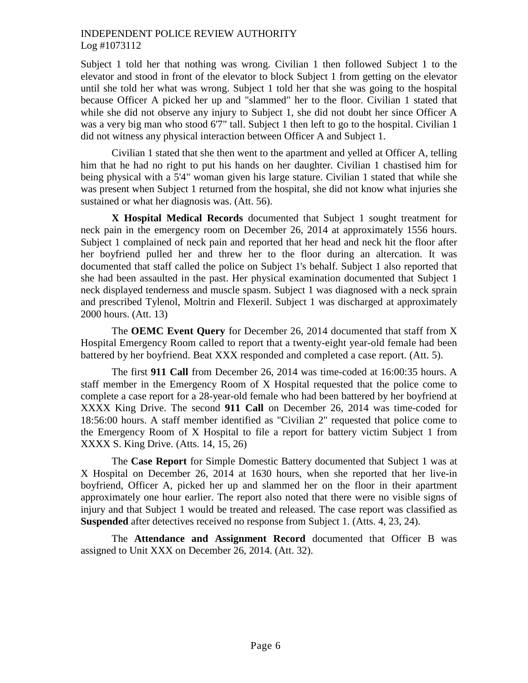Subject 1 told her that nothing was wrong. Civilian 1 then followed Subject 1 to the elevator and stood in front of the elevator to block Subject 1 from getting on the elevator until she told her what was wrong. Subject 1 told her that she was going to the hospital because Officer A picked her up and "slammed" her to the floor. Civilian 1 stated that while she did not observe any injury to Subject 1, she did not doubt her since Officer A was a very big man who stood 6'7" tall. Subject 1 then left to go to the hospital. Civilian 1 did not witness any physical interaction between Officer A and Subject 1.

Civilian 1 stated that she then went to the apartment and yelled at Officer A, telling him that he had no right to put his hands on her daughter. Civilian 1 chastised him for being physical with a 5'4" woman given his large stature. Civilian 1 stated that while she was present when Subject 1 returned from the hospital, she did not know what injuries she sustained or what her diagnosis was. (Att. 56).

**X Hospital Medical Records** documented that Subject 1 sought treatment for neck pain in the emergency room on December 26, 2014 at approximately 1556 hours. Subject 1 complained of neck pain and reported that her head and neck hit the floor after her boyfriend pulled her and threw her to the floor during an altercation. It was documented that staff called the police on Subject 1's behalf. Subject 1 also reported that she had been assaulted in the past. Her physical examination documented that Subject 1 neck displayed tenderness and muscle spasm. Subject 1 was diagnosed with a neck sprain and prescribed Tylenol, Moltrin and Flexeril. Subject 1 was discharged at approximately 2000 hours. (Att. 13)

The **OEMC Event Query** for December 26, 2014 documented that staff from X Hospital Emergency Room called to report that a twenty-eight year-old female had been battered by her boyfriend. Beat XXX responded and completed a case report. (Att. 5).

The first **911 Call** from December 26, 2014 was time-coded at 16:00:35 hours. A staff member in the Emergency Room of X Hospital requested that the police come to complete a case report for a 28-year-old female who had been battered by her boyfriend at XXXX King Drive. The second **911 Call** on December 26, 2014 was time-coded for 18:56:00 hours. A staff member identified as "Civilian 2" requested that police come to the Emergency Room of X Hospital to file a report for battery victim Subject 1 from XXXX S. King Drive. (Atts. 14, 15, 26)

The **Case Report** for Simple Domestic Battery documented that Subject 1 was at X Hospital on December 26, 2014 at 1630 hours, when she reported that her live-in boyfriend, Officer A, picked her up and slammed her on the floor in their apartment approximately one hour earlier. The report also noted that there were no visible signs of injury and that Subject 1 would be treated and released. The case report was classified as **Suspended** after detectives received no response from Subject 1. (Atts. 4, 23, 24).

The **Attendance and Assignment Record** documented that Officer B was assigned to Unit XXX on December 26, 2014. (Att. 32).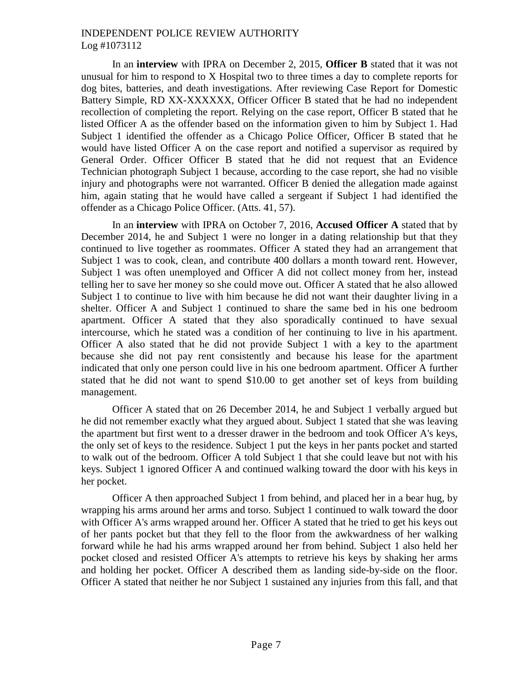In an **interview** with IPRA on December 2, 2015, **Officer B** stated that it was not unusual for him to respond to X Hospital two to three times a day to complete reports for dog bites, batteries, and death investigations. After reviewing Case Report for Domestic Battery Simple, RD XX-XXXXXX, Officer Officer B stated that he had no independent recollection of completing the report. Relying on the case report, Officer B stated that he listed Officer A as the offender based on the information given to him by Subject 1. Had Subject 1 identified the offender as a Chicago Police Officer, Officer B stated that he would have listed Officer A on the case report and notified a supervisor as required by General Order. Officer Officer B stated that he did not request that an Evidence Technician photograph Subject 1 because, according to the case report, she had no visible injury and photographs were not warranted. Officer B denied the allegation made against him, again stating that he would have called a sergeant if Subject 1 had identified the offender as a Chicago Police Officer. (Atts. 41, 57).

In an **interview** with IPRA on October 7, 2016, **Accused Officer A** stated that by December 2014, he and Subject 1 were no longer in a dating relationship but that they continued to live together as roommates. Officer A stated they had an arrangement that Subject 1 was to cook, clean, and contribute 400 dollars a month toward rent. However, Subject 1 was often unemployed and Officer A did not collect money from her, instead telling her to save her money so she could move out. Officer A stated that he also allowed Subject 1 to continue to live with him because he did not want their daughter living in a shelter. Officer A and Subject 1 continued to share the same bed in his one bedroom apartment. Officer A stated that they also sporadically continued to have sexual intercourse, which he stated was a condition of her continuing to live in his apartment. Officer A also stated that he did not provide Subject 1 with a key to the apartment because she did not pay rent consistently and because his lease for the apartment indicated that only one person could live in his one bedroom apartment. Officer A further stated that he did not want to spend \$10.00 to get another set of keys from building management.

Officer A stated that on 26 December 2014, he and Subject 1 verbally argued but he did not remember exactly what they argued about. Subject 1 stated that she was leaving the apartment but first went to a dresser drawer in the bedroom and took Officer A's keys, the only set of keys to the residence. Subject 1 put the keys in her pants pocket and started to walk out of the bedroom. Officer A told Subject 1 that she could leave but not with his keys. Subject 1 ignored Officer A and continued walking toward the door with his keys in her pocket.

Officer A then approached Subject 1 from behind, and placed her in a bear hug, by wrapping his arms around her arms and torso. Subject 1 continued to walk toward the door with Officer A's arms wrapped around her. Officer A stated that he tried to get his keys out of her pants pocket but that they fell to the floor from the awkwardness of her walking forward while he had his arms wrapped around her from behind. Subject 1 also held her pocket closed and resisted Officer A's attempts to retrieve his keys by shaking her arms and holding her pocket. Officer A described them as landing side-by-side on the floor. Officer A stated that neither he nor Subject 1 sustained any injuries from this fall, and that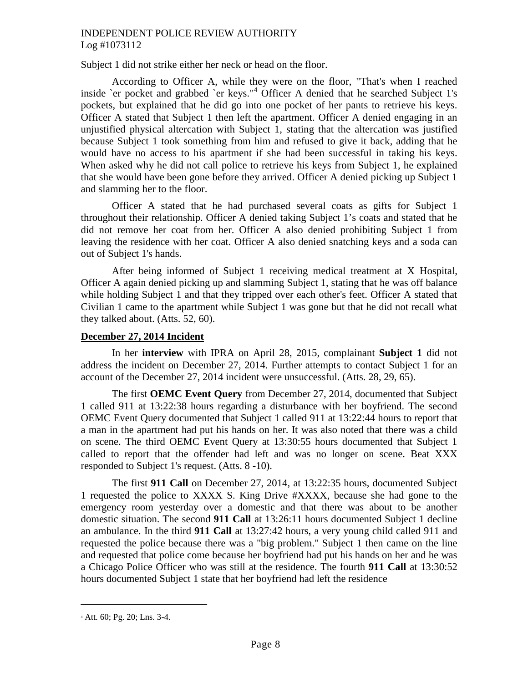Subject 1 did not strike either her neck or head on the floor.

According to Officer A, while they were on the floor, "That's when I reached inside `er pocket and grabbed `er keys."<sup>4</sup> Officer A denied that he searched Subject 1's pockets, but explained that he did go into one pocket of her pants to retrieve his keys. Officer A stated that Subject 1 then left the apartment. Officer A denied engaging in an unjustified physical altercation with Subject 1, stating that the altercation was justified because Subject 1 took something from him and refused to give it back, adding that he would have no access to his apartment if she had been successful in taking his keys. When asked why he did not call police to retrieve his keys from Subject 1, he explained that she would have been gone before they arrived. Officer A denied picking up Subject 1 and slamming her to the floor.

Officer A stated that he had purchased several coats as gifts for Subject 1 throughout their relationship. Officer A denied taking Subject 1's coats and stated that he did not remove her coat from her. Officer A also denied prohibiting Subject 1 from leaving the residence with her coat. Officer A also denied snatching keys and a soda can out of Subject 1's hands.

After being informed of Subject 1 receiving medical treatment at X Hospital, Officer A again denied picking up and slamming Subject 1, stating that he was off balance while holding Subject 1 and that they tripped over each other's feet. Officer A stated that Civilian 1 came to the apartment while Subject 1 was gone but that he did not recall what they talked about. (Atts. 52, 60).

# **December 27, 2014 Incident**

In her **interview** with IPRA on April 28, 2015, complainant **Subject 1** did not address the incident on December 27, 2014. Further attempts to contact Subject 1 for an account of the December 27, 2014 incident were unsuccessful. (Atts. 28, 29, 65).

The first **OEMC Event Query** from December 27, 2014, documented that Subject 1 called 911 at 13:22:38 hours regarding a disturbance with her boyfriend. The second OEMC Event Query documented that Subject 1 called 911 at 13:22:44 hours to report that a man in the apartment had put his hands on her. It was also noted that there was a child on scene. The third OEMC Event Query at 13:30:55 hours documented that Subject 1 called to report that the offender had left and was no longer on scene. Beat XXX responded to Subject 1's request. (Atts. 8 -10).

The first **911 Call** on December 27, 2014, at 13:22:35 hours, documented Subject 1 requested the police to XXXX S. King Drive #XXXX, because she had gone to the emergency room yesterday over a domestic and that there was about to be another domestic situation. The second **911 Call** at 13:26:11 hours documented Subject 1 decline an ambulance. In the third **911 Call** at 13:27:42 hours, a very young child called 911 and requested the police because there was a "big problem." Subject 1 then came on the line and requested that police come because her boyfriend had put his hands on her and he was a Chicago Police Officer who was still at the residence. The fourth **911 Call** at 13:30:52 hours documented Subject 1 state that her boyfriend had left the residence

<sup>4</sup> Att. 60; Pg. 20; Lns. 3-4.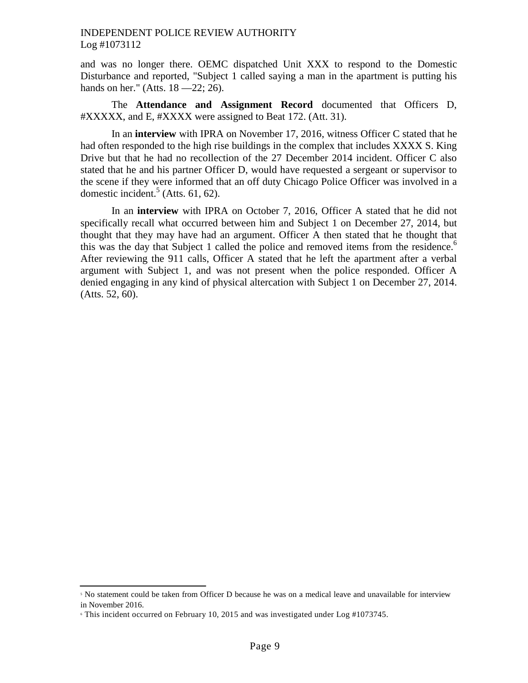and was no longer there. OEMC dispatched Unit XXX to respond to the Domestic Disturbance and reported, "Subject 1 called saying a man in the apartment is putting his hands on her." (Atts. 18 - 22; 26).

The **Attendance and Assignment Record** documented that Officers D, #XXXXX, and E, #XXXX were assigned to Beat 172. (Att. 31).

In an **interview** with IPRA on November 17, 2016, witness Officer C stated that he had often responded to the high rise buildings in the complex that includes XXXX S. King Drive but that he had no recollection of the 27 December 2014 incident. Officer C also stated that he and his partner Officer D, would have requested a sergeant or supervisor to the scene if they were informed that an off duty Chicago Police Officer was involved in a domestic incident.<sup>5</sup> (Atts. 61, 62).

In an **interview** with IPRA on October 7, 2016, Officer A stated that he did not specifically recall what occurred between him and Subject 1 on December 27, 2014, but thought that they may have had an argument. Officer A then stated that he thought that this was the day that Subject 1 called the police and removed items from the residence.<sup>6</sup> After reviewing the 911 calls, Officer A stated that he left the apartment after a verbal argument with Subject 1, and was not present when the police responded. Officer A denied engaging in any kind of physical altercation with Subject 1 on December 27, 2014. (Atts. 52, 60).

<sup>5</sup> No statement could be taken from Officer D because he was on a medical leave and unavailable for interview in November 2016.

<sup>6</sup> This incident occurred on February 10, 2015 and was investigated under Log #1073745.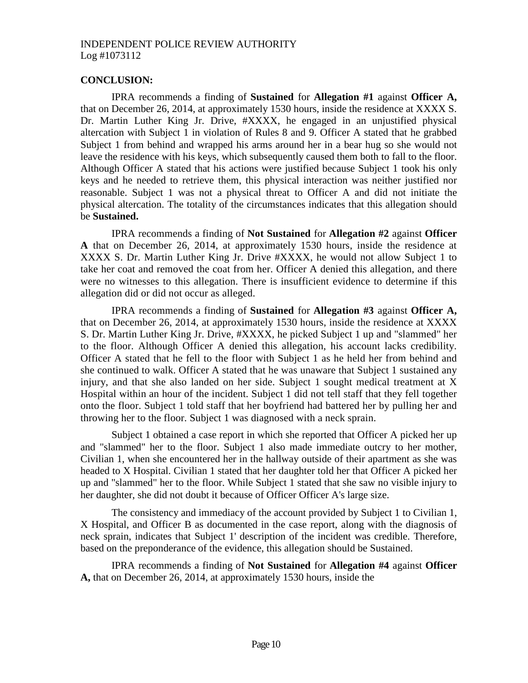#### **CONCLUSION:**

IPRA recommends a finding of **Sustained** for **Allegation #1** against **Officer A,** that on December 26, 2014, at approximately 1530 hours, inside the residence at XXXX S. Dr. Martin Luther King Jr. Drive, #XXXX, he engaged in an unjustified physical altercation with Subject 1 in violation of Rules 8 and 9. Officer A stated that he grabbed Subject 1 from behind and wrapped his arms around her in a bear hug so she would not leave the residence with his keys, which subsequently caused them both to fall to the floor. Although Officer A stated that his actions were justified because Subject 1 took his only keys and he needed to retrieve them, this physical interaction was neither justified nor reasonable. Subject 1 was not a physical threat to Officer A and did not initiate the physical altercation. The totality of the circumstances indicates that this allegation should be **Sustained.**

IPRA recommends a finding of **Not Sustained** for **Allegation #2** against **Officer A** that on December 26, 2014, at approximately 1530 hours, inside the residence at XXXX S. Dr. Martin Luther King Jr. Drive #XXXX, he would not allow Subject 1 to take her coat and removed the coat from her. Officer A denied this allegation, and there were no witnesses to this allegation. There is insufficient evidence to determine if this allegation did or did not occur as alleged.

IPRA recommends a finding of **Sustained** for **Allegation #3** against **Officer A,** that on December 26, 2014, at approximately 1530 hours, inside the residence at XXXX S. Dr. Martin Luther King Jr. Drive, #XXXX, he picked Subject 1 up and "slammed" her to the floor. Although Officer A denied this allegation, his account lacks credibility. Officer A stated that he fell to the floor with Subject 1 as he held her from behind and she continued to walk. Officer A stated that he was unaware that Subject 1 sustained any injury, and that she also landed on her side. Subject 1 sought medical treatment at X Hospital within an hour of the incident. Subject 1 did not tell staff that they fell together onto the floor. Subject 1 told staff that her boyfriend had battered her by pulling her and throwing her to the floor. Subject 1 was diagnosed with a neck sprain.

Subject 1 obtained a case report in which she reported that Officer A picked her up and "slammed" her to the floor. Subject 1 also made immediate outcry to her mother, Civilian 1, when she encountered her in the hallway outside of their apartment as she was headed to X Hospital. Civilian 1 stated that her daughter told her that Officer A picked her up and "slammed" her to the floor. While Subject 1 stated that she saw no visible injury to her daughter, she did not doubt it because of Officer Officer A's large size.

The consistency and immediacy of the account provided by Subject 1 to Civilian 1, X Hospital, and Officer B as documented in the case report, along with the diagnosis of neck sprain, indicates that Subject 1' description of the incident was credible. Therefore, based on the preponderance of the evidence, this allegation should be Sustained.

IPRA recommends a finding of **Not Sustained** for **Allegation #4** against **Officer A,** that on December 26, 2014, at approximately 1530 hours, inside the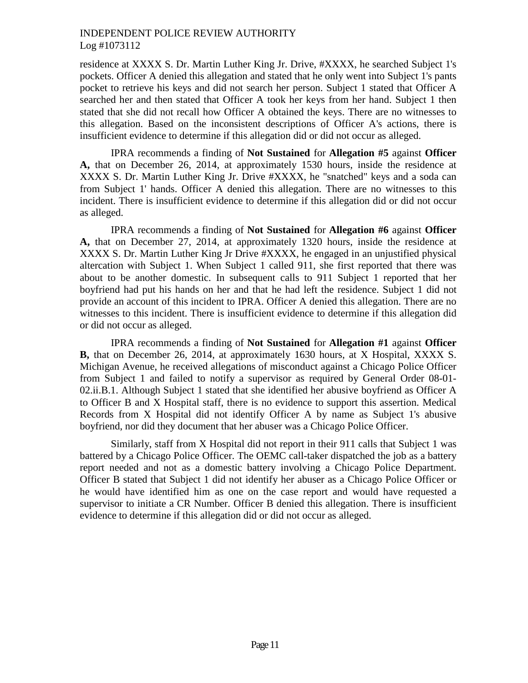residence at XXXX S. Dr. Martin Luther King Jr. Drive, #XXXX, he searched Subject 1's pockets. Officer A denied this allegation and stated that he only went into Subject 1's pants pocket to retrieve his keys and did not search her person. Subject 1 stated that Officer A searched her and then stated that Officer A took her keys from her hand. Subject 1 then stated that she did not recall how Officer A obtained the keys. There are no witnesses to this allegation. Based on the inconsistent descriptions of Officer A's actions, there is insufficient evidence to determine if this allegation did or did not occur as alleged.

IPRA recommends a finding of **Not Sustained** for **Allegation #5** against **Officer A,** that on December 26, 2014, at approximately 1530 hours, inside the residence at XXXX S. Dr. Martin Luther King Jr. Drive #XXXX, he "snatched" keys and a soda can from Subject 1' hands. Officer A denied this allegation. There are no witnesses to this incident. There is insufficient evidence to determine if this allegation did or did not occur as alleged.

IPRA recommends a finding of **Not Sustained** for **Allegation #6** against **Officer A,** that on December 27, 2014, at approximately 1320 hours, inside the residence at XXXX S. Dr. Martin Luther King Jr Drive #XXXX, he engaged in an unjustified physical altercation with Subject 1. When Subject 1 called 911, she first reported that there was about to be another domestic. In subsequent calls to 911 Subject 1 reported that her boyfriend had put his hands on her and that he had left the residence. Subject 1 did not provide an account of this incident to IPRA. Officer A denied this allegation. There are no witnesses to this incident. There is insufficient evidence to determine if this allegation did or did not occur as alleged.

IPRA recommends a finding of **Not Sustained** for **Allegation #1** against **Officer B,** that on December 26, 2014, at approximately 1630 hours, at X Hospital, XXXX S. Michigan Avenue, he received allegations of misconduct against a Chicago Police Officer from Subject 1 and failed to notify a supervisor as required by General Order 08-01- 02.ii.B.1. Although Subject 1 stated that she identified her abusive boyfriend as Officer A to Officer B and X Hospital staff, there is no evidence to support this assertion. Medical Records from X Hospital did not identify Officer A by name as Subject 1's abusive boyfriend, nor did they document that her abuser was a Chicago Police Officer.

Similarly, staff from X Hospital did not report in their 911 calls that Subject 1 was battered by a Chicago Police Officer. The OEMC call-taker dispatched the job as a battery report needed and not as a domestic battery involving a Chicago Police Department. Officer B stated that Subject 1 did not identify her abuser as a Chicago Police Officer or he would have identified him as one on the case report and would have requested a supervisor to initiate a CR Number. Officer B denied this allegation. There is insufficient evidence to determine if this allegation did or did not occur as alleged.